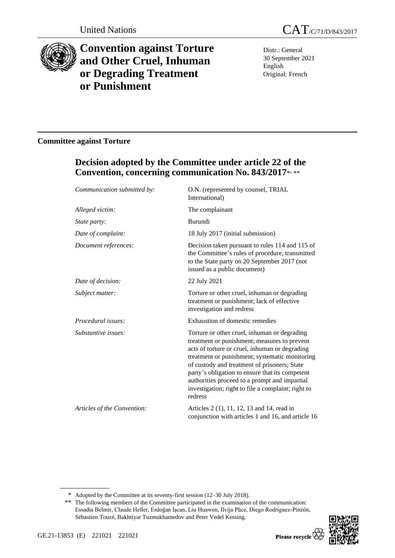

# **Convention against Torture and Other Cruel, Inhuman or Degrading Treatment or Punishment**

Distr.: General 30 September 2021 English Original: French

### **Committee against Torture**

## **Decision adopted by the Committee under article 22 of the Convention, concerning communication No. 843/2017**\* , \*\*

| Communication submitted by: | O.N. (represented by counsel, TRIAL<br>International)                                                                                                                                                                                                                                                                                                                                                                 |
|-----------------------------|-----------------------------------------------------------------------------------------------------------------------------------------------------------------------------------------------------------------------------------------------------------------------------------------------------------------------------------------------------------------------------------------------------------------------|
| Alleged victim:             | The complainant                                                                                                                                                                                                                                                                                                                                                                                                       |
| State party:                | Burundi                                                                                                                                                                                                                                                                                                                                                                                                               |
| Date of complaint:          | 18 July 2017 (initial submission)                                                                                                                                                                                                                                                                                                                                                                                     |
| Document references:        | Decision taken pursuant to rules 114 and 115 of<br>the Committee's rules of procedure, transmitted<br>to the State party on 20 September 2017 (not<br>issued as a public document)                                                                                                                                                                                                                                    |
| Date of decision:           | 22 July 2021                                                                                                                                                                                                                                                                                                                                                                                                          |
| Subject matter:             | Torture or other cruel, inhuman or degrading<br>treatment or punishment; lack of effective<br>investigation and redress                                                                                                                                                                                                                                                                                               |
| Procedural issues:          | Exhaustion of domestic remedies                                                                                                                                                                                                                                                                                                                                                                                       |
| Substantive issues:         | Torture or other cruel, inhuman or degrading<br>treatment or punishment; measures to prevent<br>acts of torture or cruel, inhuman or degrading<br>treatment or punishment; systematic monitoring<br>of custody and treatment of prisoners; State<br>party's obligation to ensure that its competent<br>authorities proceed to a prompt and impartial<br>investigation; right to file a complaint; right to<br>redress |
| Articles of the Convention: | Articles 2 (1), 11, 12, 13 and 14, read in<br>conjunction with articles 1 and 16, and article 16                                                                                                                                                                                                                                                                                                                      |

\* Adopted by the Committee at its seventy-first session (12–30 July 2018).

<sup>\*\*</sup> The following members of the Committee participated in the examination of the communication: Essadia Belmir, Claude Heller, Erdoğan İşcan, Liu Huawen, Ilvija Pūce, Diego Rodríguez-Pinzón, Sébastien Touzé, Bakhtiyar Tuzmukhamedov and Peter Vedel Kessing.

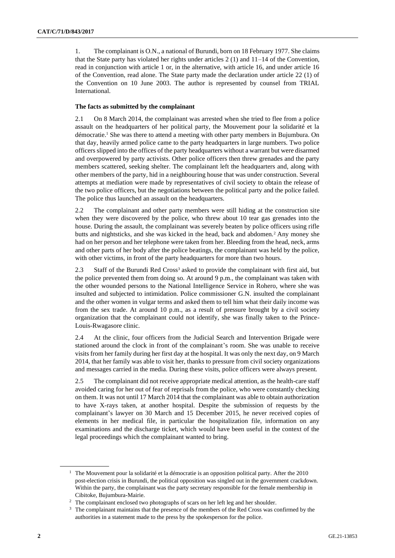1. The complainant is O.N., a national of Burundi, born on 18 February 1977. She claims that the State party has violated her rights under articles 2 (1) and 11–14 of the Convention, read in conjunction with article 1 or, in the alternative, with article 16, and under article 16 of the Convention, read alone. The State party made the declaration under article 22 (1) of the Convention on 10 June 2003. The author is represented by counsel from TRIAL International.

#### **The facts as submitted by the complainant**

2.1 On 8 March 2014, the complainant was arrested when she tried to flee from a police assault on the headquarters of her political party, the Mouvement pour la solidarité et la démocratie.<sup>1</sup> She was there to attend a meeting with other party members in Bujumbura. On that day, heavily armed police came to the party headquarters in large numbers. Two police officers slipped into the offices of the party headquarters without a warrant but were disarmed and overpowered by party activists. Other police officers then threw grenades and the party members scattered, seeking shelter. The complainant left the headquarters and, along with other members of the party, hid in a neighbouring house that was under construction. Several attempts at mediation were made by representatives of civil society to obtain the release of the two police officers, but the negotiations between the political party and the police failed. The police thus launched an assault on the headquarters.

2.2 The complainant and other party members were still hiding at the construction site when they were discovered by the police, who threw about 10 tear gas grenades into the house. During the assault, the complainant was severely beaten by police officers using rifle butts and nightsticks, and she was kicked in the head, back and abdomen.<sup>2</sup> Any money she had on her person and her telephone were taken from her. Bleeding from the head, neck, arms and other parts of her body after the police beatings, the complainant was held by the police, with other victims, in front of the party headquarters for more than two hours.

2.3 Staff of the Burundi Red Cross<sup>3</sup> asked to provide the complainant with first aid, but the police prevented them from doing so. At around 9 p.m., the complainant was taken with the other wounded persons to the National Intelligence Service in Rohero, where she was insulted and subjected to intimidation. Police commissioner G.N. insulted the complainant and the other women in vulgar terms and asked them to tell him what their daily income was from the sex trade. At around 10 p.m., as a result of pressure brought by a civil society organization that the complainant could not identify, she was finally taken to the Prince-Louis-Rwagasore clinic.

2.4 At the clinic, four officers from the Judicial Search and Intervention Brigade were stationed around the clock in front of the complainant's room. She was unable to receive visits from her family during her first day at the hospital. It was only the next day, on 9 March 2014, that her family was able to visit her, thanks to pressure from civil society organizations and messages carried in the media. During these visits, police officers were always present.

2.5 The complainant did not receive appropriate medical attention, as the health-care staff avoided caring for her out of fear of reprisals from the police, who were constantly checking on them. It was not until 17 March 2014 that the complainant was able to obtain authorization to have X-rays taken, at another hospital. Despite the submission of requests by the complainant's lawyer on 30 March and 15 December 2015, he never received copies of elements in her medical file, in particular the hospitalization file, information on any examinations and the discharge ticket, which would have been useful in the context of the legal proceedings which the complainant wanted to bring.

<sup>&</sup>lt;sup>1</sup> The Mouvement pour la solidarité et la démocratie is an opposition political party. After the 2010 post-election crisis in Burundi, the political opposition was singled out in the government crackdown. Within the party, the complainant was the party secretary responsible for the female membership in Cibitoke, Bujumbura-Mairie.

<sup>&</sup>lt;sup>2</sup> The complainant enclosed two photographs of scars on her left leg and her shoulder.

<sup>&</sup>lt;sup>3</sup> The complainant maintains that the presence of the members of the Red Cross was confirmed by the authorities in a statement made to the press by the spokesperson for the police.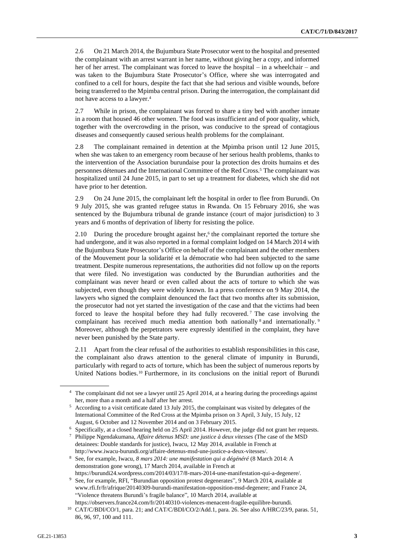2.6 On 21 March 2014, the Bujumbura State Prosecutor went to the hospital and presented the complainant with an arrest warrant in her name, without giving her a copy, and informed her of her arrest. The complainant was forced to leave the hospital – in a wheelchair – and was taken to the Bujumbura State Prosecutor's Office, where she was interrogated and confined to a cell for hours, despite the fact that she had serious and visible wounds, before being transferred to the Mpimba central prison. During the interrogation, the complainant did not have access to a lawyer.<sup>4</sup>

2.7 While in prison, the complainant was forced to share a tiny bed with another inmate in a room that housed 46 other women. The food was insufficient and of poor quality, which, together with the overcrowding in the prison, was conducive to the spread of contagious diseases and consequently caused serious health problems for the complainant.

2.8 The complainant remained in detention at the Mpimba prison until 12 June 2015, when she was taken to an emergency room because of her serious health problems, thanks to the intervention of the Association burundaise pour la protection des droits humains et des personnes détenues and the International Committee of the Red Cross.<sup>5</sup> The complainant was hospitalized until 24 June 2015, in part to set up a treatment for diabetes, which she did not have prior to her detention.

2.9 On 24 June 2015, the complainant left the hospital in order to flee from Burundi. On 9 July 2015, she was granted refugee status in Rwanda. On 15 February 2016, she was sentenced by the Bujumbura tribunal de grande instance (court of major jurisdiction) to 3 years and 6 months of deprivation of liberty for resisting the police.

2.10 During the procedure brought against her, $6$  the complainant reported the torture she had undergone, and it was also reported in a formal complaint lodged on 14 March 2014 with the Bujumbura State Prosecutor's Office on behalf of the complainant and the other members of the Mouvement pour la solidarité et la démocratie who had been subjected to the same treatment. Despite numerous representations, the authorities did not follow up on the reports that were filed. No investigation was conducted by the Burundian authorities and the complainant was never heard or even called about the acts of torture to which she was subjected, even though they were widely known. In a press conference on 9 May 2014, the lawyers who signed the complaint denounced the fact that two months after its submission, the prosecutor had not yet started the investigation of the case and that the victims had been forced to leave the hospital before they had fully recovered. <sup>7</sup> The case involving the complainant has received much media attention both nationally 8 and internationally. 9 Moreover, although the perpetrators were expressly identified in the complaint, they have never been punished by the State party.

2.11 Apart from the clear refusal of the authorities to establish responsibilities in this case, the complainant also draws attention to the general climate of impunity in Burundi, particularly with regard to acts of torture, which has been the subject of numerous reports by United Nations bodies.<sup>10</sup> Furthermore, in its conclusions on the initial report of Burundi

<sup>4</sup> The complainant did not see a lawyer until 25 April 2014, at a hearing during the proceedings against her, more than a month and a half after her arrest.

<sup>5</sup> According to a visit certificate dated 13 July 2015, the complainant was visited by delegates of the International Committee of the Red Cross at the Mpimba prison on 3 April, 3 July, 15 July, 12 August, 6 October and 12 November 2014 and on 3 February 2015.

<sup>6</sup> Specifically, at a closed hearing held on 25 April 2014. However, the judge did not grant her requests.

<sup>7</sup> Philippe Ngendakumana, *Affaire détenus MSD: une justice à deux vitesses* (The case of the MSD detainees: Double standards for justice), Iwacu, 12 May 2014, available in French at http://www.iwacu-burundi.org/affaire-detenus-msd-une-justice-a-deux-vitesses/.

<sup>8</sup> See, for example, Iwacu, *8 mars 2014: une manifestation qui a dégénéré* (8 March 2014: A demonstration gone wrong), 17 March 2014, available in French at https://burundi24.wordpress.com/2014/03/17/8-mars-2014-une-manifestation-qui-a-degenere/.

<sup>&</sup>lt;sup>9</sup> See, for example, RFI, "Burundian opposition protest degenerates", 9 March 2014, available at www.rfi.fr/fr/afrique/20140309-burundi-manifestation-opposition-msd-degenere; and France 24, "Violence threatens Burundi's fragile balance", 10 March 2014, available at https://observers.france24.com/fr/20140310-violences-menacent-fragile-equilibre-burundi.

<sup>&</sup>lt;sup>10</sup> CAT/C/BDI/CO/1, para. 21; and CAT/C/BDI/CO/2/Add.1, para. 26. See also A/HRC/23/9, paras. 51, 86, 96, 97, 100 and 111.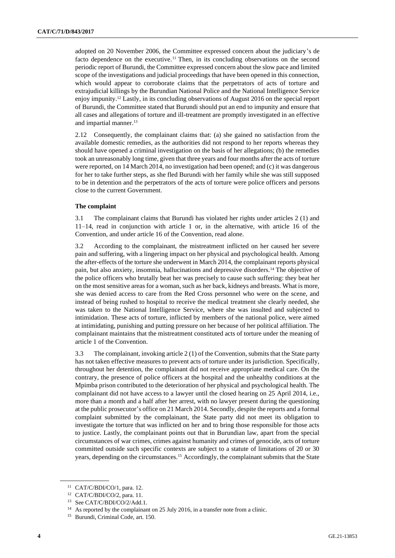adopted on 20 November 2006, the Committee expressed concern about the judiciary's de facto dependence on the executive.<sup>11</sup> Then, in its concluding observations on the second periodic report of Burundi, the Committee expressed concern about the slow pace and limited scope of the investigations and judicial proceedings that have been opened in this connection, which would appear to corroborate claims that the perpetrators of acts of torture and extrajudicial killings by the Burundian National Police and the National Intelligence Service enjoy impunity.<sup>12</sup> Lastly, in its concluding observations of August 2016 on the special report of Burundi, the Committee stated that Burundi should put an end to impunity and ensure that all cases and allegations of torture and ill-treatment are promptly investigated in an effective and impartial manner.<sup>13</sup>

2.12 Consequently, the complainant claims that: (a) she gained no satisfaction from the available domestic remedies, as the authorities did not respond to her reports whereas they should have opened a criminal investigation on the basis of her allegations; (b) the remedies took an unreasonably long time, given that three years and four months after the acts of torture were reported, on 14 March 2014, no investigation had been opened; and (c) it was dangerous for her to take further steps, as she fled Burundi with her family while she was still supposed to be in detention and the perpetrators of the acts of torture were police officers and persons close to the current Government.

#### **The complaint**

3.1 The complainant claims that Burundi has violated her rights under articles 2 (1) and 11–14, read in conjunction with article 1 or, in the alternative, with article 16 of the Convention, and under article 16 of the Convention, read alone.

3.2 According to the complainant, the mistreatment inflicted on her caused her severe pain and suffering, with a lingering impact on her physical and psychological health. Among the after-effects of the torture she underwent in March 2014, the complainant reports physical pain, but also anxiety, insomnia, hallucinations and depressive disorders.<sup>14</sup> The objective of the police officers who brutally beat her was precisely to cause such suffering: they beat her on the most sensitive areas for a woman, such as her back, kidneys and breasts. What is more, she was denied access to care from the Red Cross personnel who were on the scene, and instead of being rushed to hospital to receive the medical treatment she clearly needed, she was taken to the National Intelligence Service, where she was insulted and subjected to intimidation. These acts of torture, inflicted by members of the national police, were aimed at intimidating, punishing and putting pressure on her because of her political affiliation. The complainant maintains that the mistreatment constituted acts of torture under the meaning of article 1 of the Convention.

3.3 The complainant, invoking article 2 (1) of the Convention, submits that the State party has not taken effective measures to prevent acts of torture under its jurisdiction. Specifically, throughout her detention, the complainant did not receive appropriate medical care. On the contrary, the presence of police officers at the hospital and the unhealthy conditions at the Mpimba prison contributed to the deterioration of her physical and psychological health. The complainant did not have access to a lawyer until the closed hearing on 25 April 2014, i.e., more than a month and a half after her arrest, with no lawyer present during the questioning at the public prosecutor's office on 21 March 2014. Secondly, despite the reports and a formal complaint submitted by the complainant, the State party did not meet its obligation to investigate the torture that was inflicted on her and to bring those responsible for those acts to justice. Lastly, the complainant points out that in Burundian law, apart from the special circumstances of war crimes, crimes against humanity and crimes of genocide, acts of torture committed outside such specific contexts are subject to a statute of limitations of 20 or 30 years, depending on the circumstances.<sup>15</sup> Accordingly, the complainant submits that the State

<sup>11</sup> CAT/C/BDI/CO/1, para. 12.

<sup>12</sup> CAT/C/BDI/CO/2, para. 11.

<sup>13</sup> See CAT/C/BDI/CO/2/Add.1.

<sup>&</sup>lt;sup>14</sup> As reported by the complainant on 25 July 2016, in a transfer note from a clinic.

<sup>&</sup>lt;sup>15</sup> Burundi, Criminal Code, art. 150.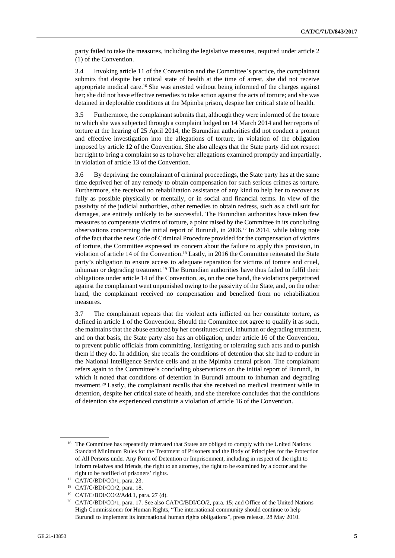party failed to take the measures, including the legislative measures, required under article 2 (1) of the Convention.

3.4 Invoking article 11 of the Convention and the Committee's practice, the complainant submits that despite her critical state of health at the time of arrest, she did not receive appropriate medical care.<sup>16</sup> She was arrested without being informed of the charges against her; she did not have effective remedies to take action against the acts of torture; and she was detained in deplorable conditions at the Mpimba prison, despite her critical state of health.

3.5 Furthermore, the complainant submits that, although they were informed of the torture to which she was subjected through a complaint lodged on 14 March 2014 and her reports of torture at the hearing of 25 April 2014, the Burundian authorities did not conduct a prompt and effective investigation into the allegations of torture, in violation of the obligation imposed by article 12 of the Convention. She also alleges that the State party did not respect her right to bring a complaint so as to have her allegations examined promptly and impartially, in violation of article 13 of the Convention.

3.6 By depriving the complainant of criminal proceedings, the State party has at the same time deprived her of any remedy to obtain compensation for such serious crimes as torture. Furthermore, she received no rehabilitation assistance of any kind to help her to recover as fully as possible physically or mentally, or in social and financial terms. In view of the passivity of the judicial authorities, other remedies to obtain redress, such as a civil suit for damages, are entirely unlikely to be successful. The Burundian authorities have taken few measures to compensate victims of torture, a point raised by the Committee in its concluding observations concerning the initial report of Burundi, in 2006.<sup>17</sup> In 2014, while taking note of the fact that the new Code of Criminal Procedure provided for the compensation of victims of torture, the Committee expressed its concern about the failure to apply this provision, in violation of article 14 of the Convention. <sup>18</sup> Lastly, in 2016 the Committee reiterated the State party's obligation to ensure access to adequate reparation for victims of torture and cruel, inhuman or degrading treatment.<sup>19</sup> The Burundian authorities have thus failed to fulfil their obligations under article 14 of the Convention, as, on the one hand, the violations perpetrated against the complainant went unpunished owing to the passivity of the State, and, on the other hand, the complainant received no compensation and benefited from no rehabilitation measures.

3.7 The complainant repeats that the violent acts inflicted on her constitute torture, as defined in article 1 of the Convention. Should the Committee not agree to qualify it as such, she maintains that the abuse endured by her constitutes cruel, inhuman or degrading treatment, and on that basis, the State party also has an obligation, under article 16 of the Convention, to prevent public officials from committing, instigating or tolerating such acts and to punish them if they do. In addition, she recalls the conditions of detention that she had to endure in the National Intelligence Service cells and at the Mpimba central prison. The complainant refers again to the Committee's concluding observations on the initial report of Burundi, in which it noted that conditions of detention in Burundi amount to inhuman and degrading treatment.<sup>20</sup> Lastly, the complainant recalls that she received no medical treatment while in detention, despite her critical state of health, and she therefore concludes that the conditions of detention she experienced constitute a violation of article 16 of the Convention.

<sup>&</sup>lt;sup>16</sup> The Committee has repeatedly reiterated that States are obliged to comply with the United Nations Standard Minimum Rules for the Treatment of Prisoners and the Body of Principles for the Protection of All Persons under Any Form of Detention or Imprisonment, including in respect of the right to inform relatives and friends, the right to an attorney, the right to be examined by a doctor and the right to be notified of prisoners' rights.

<sup>17</sup> CAT/C/BDI/CO/1, para. 23.

<sup>18</sup> CAT/C/BDI/CO/2, para. 18.

<sup>19</sup> CAT/C/BDI/CO/2/Add.1, para. 27 (d).

<sup>&</sup>lt;sup>20</sup> CAT/C/BDI/CO/1, para. 17. See also CAT/C/BDI/CO/2, para. 15; and Office of the United Nations High Commissioner for Human Rights, "The international community should continue to help Burundi to implement its international human rights obligations", press release, 28 May 2010.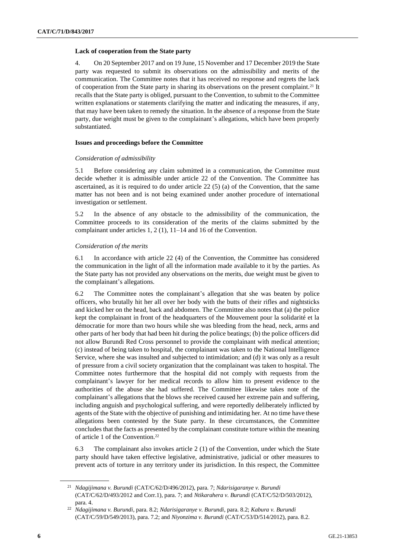#### **Lack of cooperation from the State party**

4. On 20 September 2017 and on 19 June, 15 November and 17 December 2019 the State party was requested to submit its observations on the admissibility and merits of the communication. The Committee notes that it has received no response and regrets the lack of cooperation from the State party in sharing its observations on the present complaint.<sup>21</sup> It recalls that the State party is obliged, pursuant to the Convention, to submit to the Committee written explanations or statements clarifying the matter and indicating the measures, if any, that may have been taken to remedy the situation. In the absence of a response from the State party, due weight must be given to the complainant's allegations, which have been properly substantiated.

#### **Issues and proceedings before the Committee**

#### *Consideration of admissibility*

5.1 Before considering any claim submitted in a communication, the Committee must decide whether it is admissible under article 22 of the Convention. The Committee has ascertained, as it is required to do under article 22 (5) (a) of the Convention, that the same matter has not been and is not being examined under another procedure of international investigation or settlement.

5.2 In the absence of any obstacle to the admissibility of the communication, the Committee proceeds to its consideration of the merits of the claims submitted by the complainant under articles 1, 2 (1), 11–14 and 16 of the Convention.

#### *Consideration of the merits*

6.1 In accordance with article 22 (4) of the Convention, the Committee has considered the communication in the light of all the information made available to it by the parties. As the State party has not provided any observations on the merits, due weight must be given to the complainant's allegations.

6.2 The Committee notes the complainant's allegation that she was beaten by police officers, who brutally hit her all over her body with the butts of their rifles and nightsticks and kicked her on the head, back and abdomen. The Committee also notes that (a) the police kept the complainant in front of the headquarters of the Mouvement pour la solidarité et la démocratie for more than two hours while she was bleeding from the head, neck, arms and other parts of her body that had been hit during the police beatings; (b) the police officers did not allow Burundi Red Cross personnel to provide the complainant with medical attention; (c) instead of being taken to hospital, the complainant was taken to the National Intelligence Service, where she was insulted and subjected to intimidation; and (d) it was only as a result of pressure from a civil society organization that the complainant was taken to hospital. The Committee notes furthermore that the hospital did not comply with requests from the complainant's lawyer for her medical records to allow him to present evidence to the authorities of the abuse she had suffered. The Committee likewise takes note of the complainant's allegations that the blows she received caused her extreme pain and suffering, including anguish and psychological suffering, and were reportedly deliberately inflicted by agents of the State with the objective of punishing and intimidating her. At no time have these allegations been contested by the State party. In these circumstances, the Committee concludes that the facts as presented by the complainant constitute torture within the meaning of article 1 of the Convention.<sup>22</sup>

6.3 The complainant also invokes article 2 (1) of the Convention, under which the State party should have taken effective legislative, administrative, judicial or other measures to prevent acts of torture in any territory under its jurisdiction. In this respect, the Committee

<sup>21</sup> *Ndagijimana v. Burundi* (CAT/C/62/D/496/2012), para. 7; *Ndarisigaranye v. Burundi*  (CAT/C/62/D/493/2012 and Corr.1), para. 7; and *Ntikarahera v. Burundi* (CAT/C/52/D/503/2012), para. 4.

<sup>22</sup> *Ndagijimana v. Burundi*, para. 8.2; *Ndarisigaranye v. Burundi*, para. 8.2; *Kabura v. Burundi*  (CAT/C/59/D/549/2013), para. 7.2; and *Niyonzima v. Burundi* (CAT/C/53/D/514/2012), para. 8.2.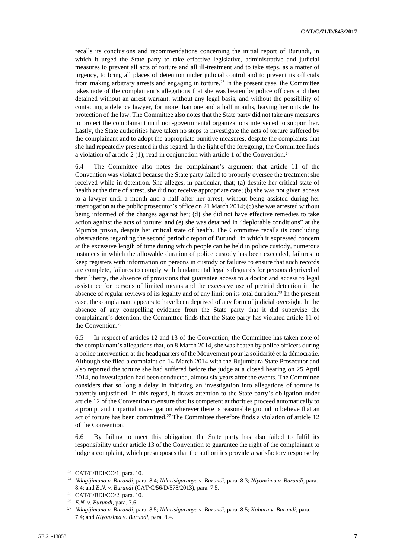recalls its conclusions and recommendations concerning the initial report of Burundi, in which it urged the State party to take effective legislative, administrative and judicial measures to prevent all acts of torture and all ill-treatment and to take steps, as a matter of urgency, to bring all places of detention under judicial control and to prevent its officials from making arbitrary arrests and engaging in torture.<sup>23</sup> In the present case, the Committee takes note of the complainant's allegations that she was beaten by police officers and then detained without an arrest warrant, without any legal basis, and without the possibility of contacting a defence lawyer, for more than one and a half months, leaving her outside the protection of the law. The Committee also notes that the State party did not take any measures to protect the complainant until non-governmental organizations intervened to support her. Lastly, the State authorities have taken no steps to investigate the acts of torture suffered by the complainant and to adopt the appropriate punitive measures, despite the complaints that she had repeatedly presented in this regard. In the light of the foregoing, the Committee finds a violation of article 2 (1), read in conjunction with article 1 of the Convention.<sup>24</sup>

6.4 The Committee also notes the complainant's argument that article 11 of the Convention was violated because the State party failed to properly oversee the treatment she received while in detention. She alleges, in particular, that; (a) despite her critical state of health at the time of arrest, she did not receive appropriate care; (b) she was not given access to a lawyer until a month and a half after her arrest, without being assisted during her interrogation at the public prosecutor's office on 21 March 2014; (c) she was arrested without being informed of the charges against her; (d) she did not have effective remedies to take action against the acts of torture; and (e) she was detained in "deplorable conditions" at the Mpimba prison, despite her critical state of health. The Committee recalls its concluding observations regarding the second periodic report of Burundi, in which it expressed concern at the excessive length of time during which people can be held in police custody, numerous instances in which the allowable duration of police custody has been exceeded, failures to keep registers with information on persons in custody or failures to ensure that such records are complete, failures to comply with fundamental legal safeguards for persons deprived of their liberty, the absence of provisions that guarantee access to a doctor and access to legal assistance for persons of limited means and the excessive use of pretrial detention in the absence of regular reviews of its legality and of any limit on its total duration.<sup>25</sup> In the present case, the complainant appears to have been deprived of any form of judicial oversight. In the absence of any compelling evidence from the State party that it did supervise the complainant's detention, the Committee finds that the State party has violated article 11 of the Convention.<sup>26</sup>

6.5 In respect of articles 12 and 13 of the Convention, the Committee has taken note of the complainant's allegations that, on 8 March 2014, she was beaten by police officers during a police intervention at the headquarters of the Mouvement pour la solidarité et la démocratie. Although she filed a complaint on 14 March 2014 with the Bujumbura State Prosecutor and also reported the torture she had suffered before the judge at a closed hearing on 25 April 2014, no investigation had been conducted, almost six years after the events. The Committee considers that so long a delay in initiating an investigation into allegations of torture is patently unjustified. In this regard, it draws attention to the State party's obligation under article 12 of the Convention to ensure that its competent authorities proceed automatically to a prompt and impartial investigation wherever there is reasonable ground to believe that an act of torture has been committed.<sup>27</sup> The Committee therefore finds a violation of article 12 of the Convention.

6.6 By failing to meet this obligation, the State party has also failed to fulfil its responsibility under article 13 of the Convention to guarantee the right of the complainant to lodge a complaint, which presupposes that the authorities provide a satisfactory response by

<sup>23</sup> CAT/C/BDI/CO/1, para. 10.

<sup>24</sup> *Ndagijimana v. Burundi*, para. 8.4; *Ndarisigaranye v. Burundi*, para. 8.3; *Niyonzima v. Burundi*, para. 8.4; and *E.N. v. Burundi* (CAT/C/56/D/578/2013), para. 7.5.

<sup>25</sup> CAT/C/BDI/CO/2, para. 10.

<sup>26</sup> *E.N. v. Burundi*, para. 7.6.

<sup>27</sup> *Ndagijimana v. Burundi*, para. 8.5; *Ndarisigaranye v. Burundi*, para. 8.5; *Kabura v. Burundi*, para. 7.4; and *Niyonzima v. Burundi*, para. 8.4.